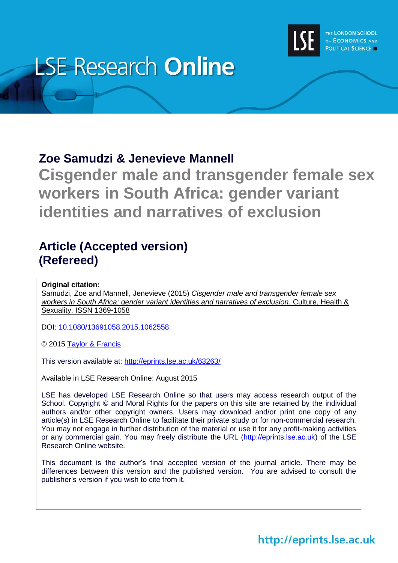

# **LSE Research Online**

# **Zoe Samudzi & Jenevieve Mannell**

**Cisgender male and transgender female sex workers in South Africa: gender variant identities and narratives of exclusion**

# **Article (Accepted version) (Refereed)**

**Original citation:**

Samudzi, Zoe and Mannell, Jenevieve (2015) *Cisgender male and transgender female sex workers in South Africa: gender variant identities and narratives of exclusion.* Culture, Health & Sexuality. ISSN 1369-1058

DOI: [10.1080/13691058.2015.1062558](http://dx.doi.org/10.1080/13691058.2015.1062558)

© 2015 [Taylor & Francis](http://www.tandfonline.com/)

This version available at:<http://eprints.lse.ac.uk/63263/>

Available in LSE Research Online: August 2015

LSE has developed LSE Research Online so that users may access research output of the School. Copyright © and Moral Rights for the papers on this site are retained by the individual authors and/or other copyright owners. Users may download and/or print one copy of any article(s) in LSE Research Online to facilitate their private study or for non-commercial research. You may not engage in further distribution of the material or use it for any profit-making activities or any commercial gain. You may freely distribute the URL (http://eprints.lse.ac.uk) of the LSE Research Online website.

This document is the author's final accepted version of the journal article. There may be differences between this version and the published version. You are advised to consult the publisher's version if you wish to cite from it.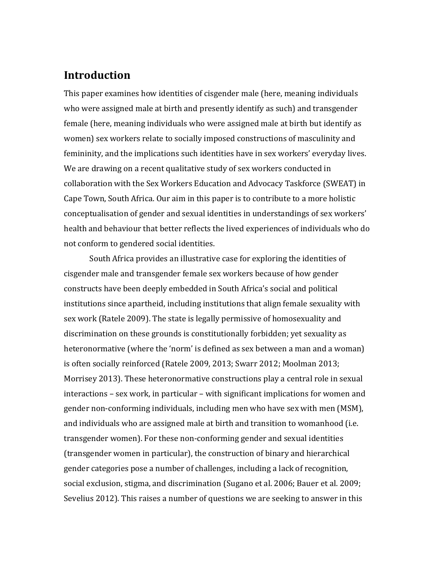# **Introduction**

This paper examines how identities of cisgender male (here, meaning individuals who were assigned male at birth and presently identify as such) and transgender female (here, meaning individuals who were assigned male at birth but identify as women) sex workers relate to socially imposed constructions of masculinity and femininity, and the implications such identities have in sex workers' everyday lives. We are drawing on a recent qualitative study of sex workers conducted in collaboration with the Sex Workers Education and Advocacy Taskforce (SWEAT) in Cape Town, South Africa. Our aim in this paper is to contribute to a more holistic conceptualisation of gender and sexual identities in understandings of sex workers' health and behaviour that better reflects the lived experiences of individuals who do not conform to gendered social identities.

South Africa provides an illustrative case for exploring the identities of cisgender male and transgender female sex workers because of how gender constructs have been deeply embedded in South Africa's social and political institutions since apartheid, including institutions that align female sexuality with sex work (Ratele 2009). The state is legally permissive of homosexuality and discrimination on these grounds is constitutionally forbidden; yet sexuality as heteronormative (where the 'norm' is defined as sex between a man and a woman) is often socially reinforced (Ratele 2009, 2013; Swarr 2012; Moolman 2013; Morrisey 2013). These heteronormative constructions play a central role in sexual interactions – sex work, in particular – with significant implications for women and gender non-conforming individuals, including men who have sex with men (MSM), and individuals who are assigned male at birth and transition to womanhood (i.e. transgender women). For these non-conforming gender and sexual identities (transgender women in particular), the construction of binary and hierarchical gender categories pose a number of challenges, including a lack of recognition, social exclusion, stigma, and discrimination (Sugano et al. 2006; Bauer et al. 2009; Sevelius 2012). This raises a number of questions we are seeking to answer in this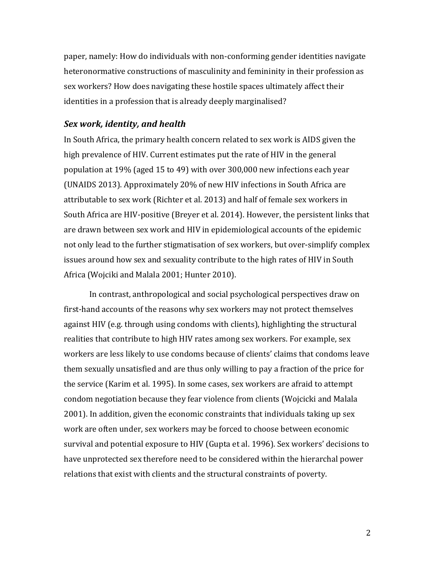paper, namely: How do individuals with non-conforming gender identities navigate heteronormative constructions of masculinity and femininity in their profession as sex workers? How does navigating these hostile spaces ultimately affect their identities in a profession that is already deeply marginalised?

#### *Sex work, identity, and health*

In South Africa, the primary health concern related to sex work is AIDS given the high prevalence of HIV. Current estimates put the rate of HIV in the general population at 19% (aged 15 to 49) with over 300,000 new infections each year (UNAIDS 2013). Approximately 20% of new HIV infections in South Africa are attributable to sex work (Richter et al. 2013) and half of female sex workers in South Africa are HIV-positive (Breyer et al. 2014). However, the persistent links that are drawn between sex work and HIV in epidemiological accounts of the epidemic not only lead to the further stigmatisation of sex workers, but over-simplify complex issues around how sex and sexuality contribute to the high rates of HIV in South Africa (Wojciki and Malala 2001; Hunter 2010).

In contrast, anthropological and social psychological perspectives draw on first-hand accounts of the reasons why sex workers may not protect themselves against HIV (e.g. through using condoms with clients), highlighting the structural realities that contribute to high HIV rates among sex workers. For example, sex workers are less likely to use condoms because of clients' claims that condoms leave them sexually unsatisfied and are thus only willing to pay a fraction of the price for the service (Karim et al. 1995). In some cases, sex workers are afraid to attempt condom negotiation because they fear violence from clients (Wojcicki and Malala 2001). In addition, given the economic constraints that individuals taking up sex work are often under, sex workers may be forced to choose between economic survival and potential exposure to HIV (Gupta et al. 1996). Sex workers' decisions to have unprotected sex therefore need to be considered within the hierarchal power relations that exist with clients and the structural constraints of poverty.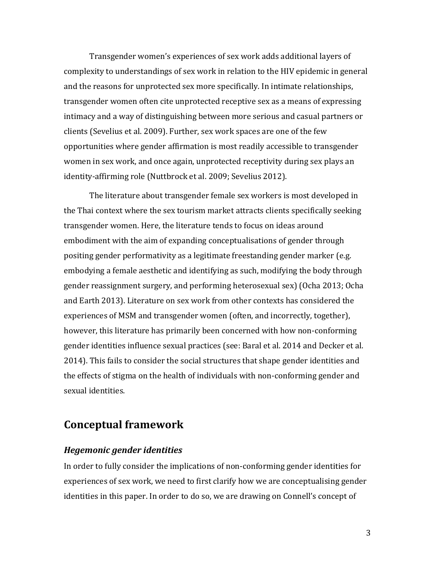Transgender women's experiences of sex work adds additional layers of complexity to understandings of sex work in relation to the HIV epidemic in general and the reasons for unprotected sex more specifically. In intimate relationships, transgender women often cite unprotected receptive sex as a means of expressing intimacy and a way of distinguishing between more serious and casual partners or clients (Sevelius et al. 2009). Further, sex work spaces are one of the few opportunities where gender affirmation is most readily accessible to transgender women in sex work, and once again, unprotected receptivity during sex plays an identity-affirming role (Nuttbrock et al. 2009; Sevelius 2012).

The literature about transgender female sex workers is most developed in the Thai context where the sex tourism market attracts clients specifically seeking transgender women. Here, the literature tends to focus on ideas around embodiment with the aim of expanding conceptualisations of gender through positing gender performativity as a legitimate freestanding gender marker (e.g. embodying a female aesthetic and identifying as such, modifying the body through gender reassignment surgery, and performing heterosexual sex) (Ocha 2013; Ocha and Earth 2013). Literature on sex work from other contexts has considered the experiences of MSM and transgender women (often, and incorrectly, together), however, this literature has primarily been concerned with how non-conforming gender identities influence sexual practices (see: Baral et al. 2014 and Decker et al. 2014). This fails to consider the social structures that shape gender identities and the effects of stigma on the health of individuals with non-conforming gender and sexual identities.

# **Conceptual framework**

## *Hegemonic gender identities*

In order to fully consider the implications of non-conforming gender identities for experiences of sex work, we need to first clarify how we are conceptualising gender identities in this paper. In order to do so, we are drawing on Connell's concept of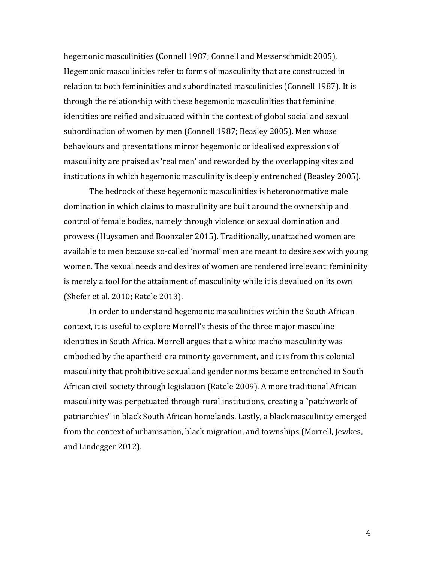hegemonic masculinities (Connell 1987; Connell and Messerschmidt 2005). Hegemonic masculinities refer to forms of masculinity that are constructed in relation to both femininities and subordinated masculinities (Connell 1987). It is through the relationship with these hegemonic masculinities that feminine identities are reified and situated within the context of global social and sexual subordination of women by men (Connell 1987; Beasley 2005). Men whose behaviours and presentations mirror hegemonic or idealised expressions of masculinity are praised as 'real men' and rewarded by the overlapping sites and institutions in which hegemonic masculinity is deeply entrenched (Beasley 2005).

The bedrock of these hegemonic masculinities is heteronormative male domination in which claims to masculinity are built around the ownership and control of female bodies, namely through violence or sexual domination and prowess (Huysamen and Boonzaler 2015). Traditionally, unattached women are available to men because so-called 'normal' men are meant to desire sex with young women. The sexual needs and desires of women are rendered irrelevant: femininity is merely a tool for the attainment of masculinity while it is devalued on its own (Shefer et al. 2010; Ratele 2013).

In order to understand hegemonic masculinities within the South African context, it is useful to explore Morrell's thesis of the three major masculine identities in South Africa. Morrell argues that a white macho masculinity was embodied by the apartheid-era minority government, and it is from this colonial masculinity that prohibitive sexual and gender norms became entrenched in South African civil society through legislation (Ratele 2009). A more traditional African masculinity was perpetuated through rural institutions, creating a "patchwork of patriarchies" in black South African homelands. Lastly, a black masculinity emerged from the context of urbanisation, black migration, and townships (Morrell, Jewkes, and Lindegger 2012).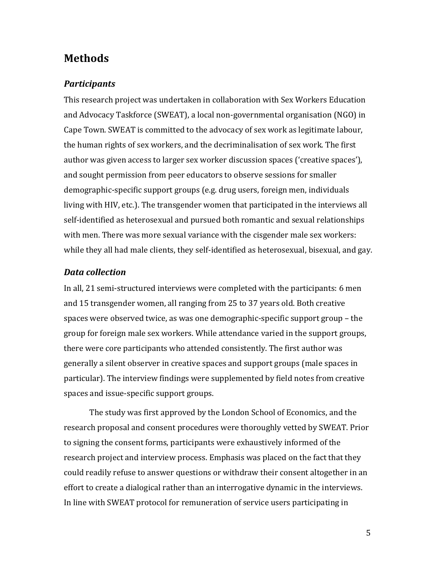# **Methods**

## *Participants*

This research project was undertaken in collaboration with Sex Workers Education and Advocacy Taskforce (SWEAT), a local non-governmental organisation (NGO) in Cape Town. SWEAT is committed to the advocacy of sex work as legitimate labour, the human rights of sex workers, and the decriminalisation of sex work. The first author was given access to larger sex worker discussion spaces ('creative spaces'), and sought permission from peer educators to observe sessions for smaller demographic-specific support groups (e.g. drug users, foreign men, individuals living with HIV, etc.). The transgender women that participated in the interviews all self-identified as heterosexual and pursued both romantic and sexual relationships with men. There was more sexual variance with the cisgender male sex workers: while they all had male clients, they self-identified as heterosexual, bisexual, and gay.

## *Data collection*

In all, 21 semi-structured interviews were completed with the participants: 6 men and 15 transgender women, all ranging from 25 to 37 years old. Both creative spaces were observed twice, as was one demographic-specific support group – the group for foreign male sex workers. While attendance varied in the support groups, there were core participants who attended consistently. The first author was generally a silent observer in creative spaces and support groups (male spaces in particular). The interview findings were supplemented by field notes from creative spaces and issue-specific support groups.

The study was first approved by the London School of Economics, and the research proposal and consent procedures were thoroughly vetted by SWEAT. Prior to signing the consent forms, participants were exhaustively informed of the research project and interview process. Emphasis was placed on the fact that they could readily refuse to answer questions or withdraw their consent altogether in an effort to create a dialogical rather than an interrogative dynamic in the interviews. In line with SWEAT protocol for remuneration of service users participating in

5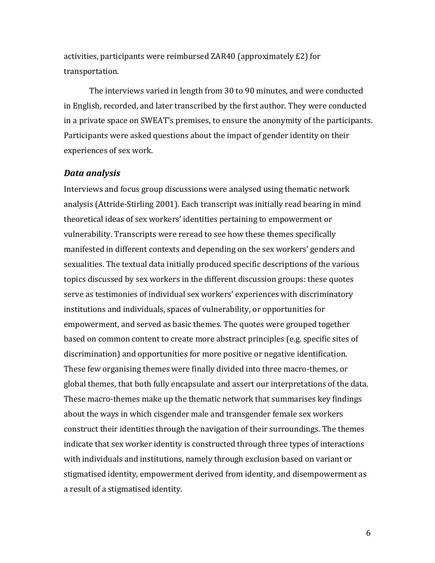activities, participants were reimbursed ZAR40 (approximately £2) for transportation.

The interviews varied in length from 30 to 90 minutes, and were conducted in English, recorded, and later transcribed by the first author. They were conducted in a private space on SWEAT's premises, to ensure the anonymity of the participants. Participants were asked questions about the impact of gender identity on their experiences of sex work.

#### *Data analysis*

Interviews and focus group discussions were analysed using thematic network analysis (Attride-Stirling 2001). Each transcript was initially read bearing in mind theoretical ideas of sex workers' identities pertaining to empowerment or vulnerability. Transcripts were reread to see how these themes specifically manifested in different contexts and depending on the sex workers' genders and sexualities. The textual data initially produced specific descriptions of the various topics discussed by sex workers in the different discussion groups: these quotes serve as testimonies of individual sex workers' experiences with discriminatory institutions and individuals, spaces of vulnerability, or opportunities for empowerment, and served as basic themes. The quotes were grouped together based on common content to create more abstract principles (e.g. specific sites of discrimination) and opportunities for more positive or negative identification. These few organising themes were finally divided into three macro-themes, or global themes, that both fully encapsulate and assert our interpretations of the data. These macro-themes make up the thematic network that summarises key findings about the ways in which cisgender male and transgender female sex workers construct their identities through the navigation of their surroundings. The themes indicate that sex worker identity is constructed through three types of interactions with individuals and institutions, namely through exclusion based on variant or stigmatised identity, empowerment derived from identity, and disempowerment as a result of a stigmatised identity.

6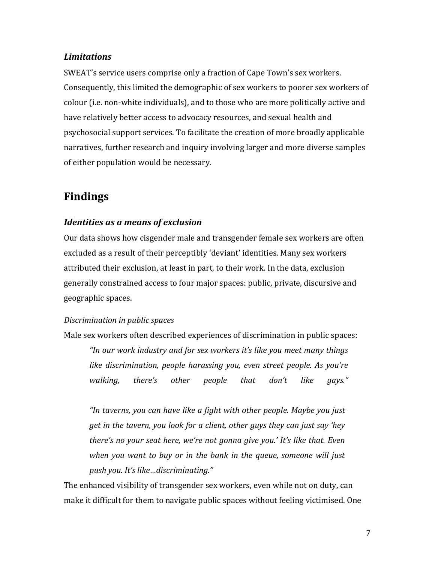### *Limitations*

SWEAT's service users comprise only a fraction of Cape Town's sex workers. Consequently, this limited the demographic of sex workers to poorer sex workers of colour (i.e. non-white individuals), and to those who are more politically active and have relatively better access to advocacy resources, and sexual health and psychosocial support services. To facilitate the creation of more broadly applicable narratives, further research and inquiry involving larger and more diverse samples of either population would be necessary.

# **Findings**

## *Identities as a means of exclusion*

Our data shows how cisgender male and transgender female sex workers are often excluded as a result of their perceptibly 'deviant' identities. Many sex workers attributed their exclusion, at least in part, to their work. In the data, exclusion generally constrained access to four major spaces: public, private, discursive and geographic spaces.

## *Discrimination in public spaces*

Male sex workers often described experiences of discrimination in public spaces: *"In our work industry and for sex workers it's like you meet many things like discrimination, people harassing you, even street people. As you're walking, there's other people that don't like gays."* 

*"In taverns, you can have like a fight with other people. Maybe you just get in the tavern, you look for a client, other guys they can just say 'hey there's no your seat here, we're not gonna give you.' It's like that. Even when you want to buy or in the bank in the queue, someone will just push you. It's like…discriminating."*

The enhanced visibility of transgender sex workers, even while not on duty, can make it difficult for them to navigate public spaces without feeling victimised. One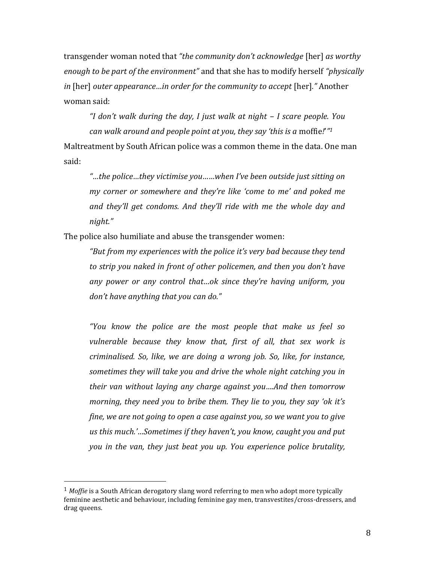transgender woman noted that *"the community don't acknowledge* [her] *as worthy enough to be part of the environment"* and that she has to modify herself *"physically in* [her] *outer appearance…in order for the community to accept* [her]*."* Another woman said:

*"I don't walk during the day, I just walk at night – I scare people. You can walk around and people point at you, they say 'this is a* moffie*!*'*" 1* Maltreatment by South African police was a common theme in the data. One man said:

*"…the police…they victimise you……when I've been outside just sitting on my corner or somewhere and they're like 'come to me' and poked me and they'll get condoms. And they'll ride with me the whole day and night."*

The police also humiliate and abuse the transgender women:

*"But from my experiences with the police it's very bad because they tend to strip you naked in front of other policemen, and then you don't have any power or any control that…ok since they're having uniform, you don't have anything that you can do."*

*"You know the police are the most people that make us feel so vulnerable because they know that, first of all, that sex work is criminalised. So, like, we are doing a wrong job. So, like, for instance, sometimes they will take you and drive the whole night catching you in their van without laying any charge against you….And then tomorrow morning, they need you to bribe them. They lie to you, they say 'ok it's fine, we are not going to open a case against you, so we want you to give us this much.'…Sometimes if they haven't, you know, caught you and put you in the van, they just beat you up. You experience police brutality,* 

 $\overline{a}$ 

<sup>1</sup> *Moffie* is a South African derogatory slang word referring to men who adopt more typically feminine aesthetic and behaviour, including feminine gay men, transvestites/cross-dressers, and drag queens.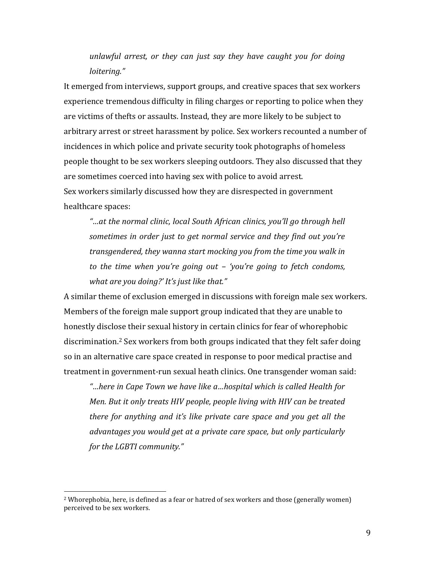# *unlawful arrest, or they can just say they have caught you for doing loitering."*

It emerged from interviews, support groups, and creative spaces that sex workers experience tremendous difficulty in filing charges or reporting to police when they are victims of thefts or assaults. Instead, they are more likely to be subject to arbitrary arrest or street harassment by police. Sex workers recounted a number of incidences in which police and private security took photographs of homeless people thought to be sex workers sleeping outdoors. They also discussed that they are sometimes coerced into having sex with police to avoid arrest. Sex workers similarly discussed how they are disrespected in government healthcare spaces:

*"…at the normal clinic, local South African clinics, you'll go through hell sometimes in order just to get normal service and they find out you're transgendered, they wanna start mocking you from the time you walk in to the time when you're going out – 'you're going to fetch condoms, what are you doing?' It's just like that."*

A similar theme of exclusion emerged in discussions with foreign male sex workers. Members of the foreign male support group indicated that they are unable to honestly disclose their sexual history in certain clinics for fear of whorephobic discrimination.<sup>2</sup> Sex workers from both groups indicated that they felt safer doing so in an alternative care space created in response to poor medical practise and treatment in government-run sexual heath clinics. One transgender woman said:

*"…here in Cape Town we have like a…hospital which is called Health for Men. But it only treats HIV people, people living with HIV can be treated there for anything and it's like private care space and you get all the advantages you would get at a private care space, but only particularly for the LGBTI community."* 

 $\overline{a}$ 

<sup>&</sup>lt;sup>2</sup> Whorephobia, here, is defined as a fear or hatred of sex workers and those (generally women) perceived to be sex workers.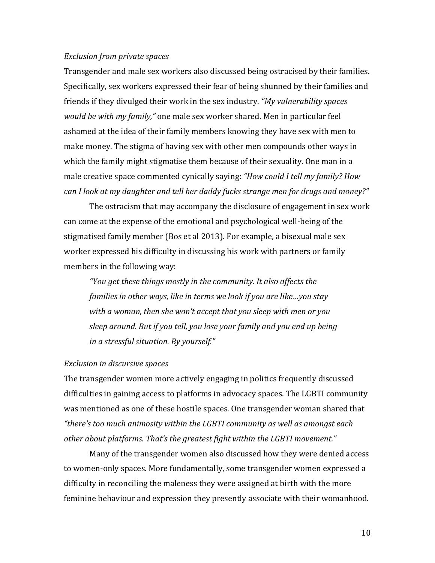#### *Exclusion from private spaces*

Transgender and male sex workers also discussed being ostracised by their families. Specifically, sex workers expressed their fear of being shunned by their families and friends if they divulged their work in the sex industry. *"My vulnerability spaces would be with my family,"* one male sex worker shared. Men in particular feel ashamed at the idea of their family members knowing they have sex with men to make money. The stigma of having sex with other men compounds other ways in which the family might stigmatise them because of their sexuality. One man in a male creative space commented cynically saying: *"How could I tell my family? How can I look at my daughter and tell her daddy fucks strange men for drugs and money?"*

The ostracism that may accompany the disclosure of engagement in sex work can come at the expense of the emotional and psychological well-being of the stigmatised family member (Bos et al 2013). For example, a bisexual male sex worker expressed his difficulty in discussing his work with partners or family members in the following way:

*"You get these things mostly in the community. It also affects the families in other ways, like in terms we look if you are like…you stay with a woman, then she won't accept that you sleep with men or you sleep around. But if you tell, you lose your family and you end up being in a stressful situation. By yourself."*

#### *Exclusion in discursive spaces*

The transgender women more actively engaging in politics frequently discussed difficulties in gaining access to platforms in advocacy spaces. The LGBTI community was mentioned as one of these hostile spaces. One transgender woman shared that *"there's too much animosity within the LGBTI community as well as amongst each other about platforms. That's the greatest fight within the LGBTI movement."*

Many of the transgender women also discussed how they were denied access to women-only spaces. More fundamentally, some transgender women expressed a difficulty in reconciling the maleness they were assigned at birth with the more feminine behaviour and expression they presently associate with their womanhood.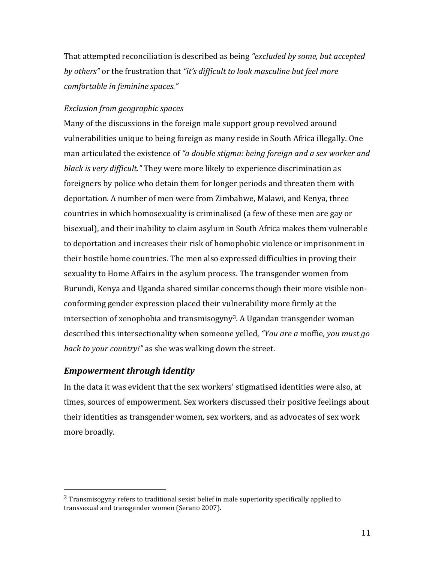That attempted reconciliation is described as being *"excluded by some, but accepted by others"* or the frustration that *"it's difficult to look masculine but feel more comfortable in feminine spaces."*

## *Exclusion from geographic spaces*

Many of the discussions in the foreign male support group revolved around vulnerabilities unique to being foreign as many reside in South Africa illegally. One man articulated the existence of *"a double stigma: being foreign and a sex worker and black is very difficult."* They were more likely to experience discrimination as foreigners by police who detain them for longer periods and threaten them with deportation. A number of men were from Zimbabwe, Malawi, and Kenya, three countries in which homosexuality is criminalised (a few of these men are gay or bisexual), and their inability to claim asylum in South Africa makes them vulnerable to deportation and increases their risk of homophobic violence or imprisonment in their hostile home countries. The men also expressed difficulties in proving their sexuality to Home Affairs in the asylum process. The transgender women from Burundi, Kenya and Uganda shared similar concerns though their more visible nonconforming gender expression placed their vulnerability more firmly at the intersection of xenophobia and transmisogyny<sup>3</sup>. A Ugandan transgender woman described this intersectionality when someone yelled, *"You are a* moffie, *you must go back to your country!"* as she was walking down the street.

## *Empowerment through identity*

 $\overline{a}$ 

In the data it was evident that the sex workers' stigmatised identities were also, at times, sources of empowerment. Sex workers discussed their positive feelings about their identities as transgender women, sex workers, and as advocates of sex work more broadly.

 $3$  Transmisogyny refers to traditional sexist belief in male superiority specifically applied to transsexual and transgender women (Serano 2007).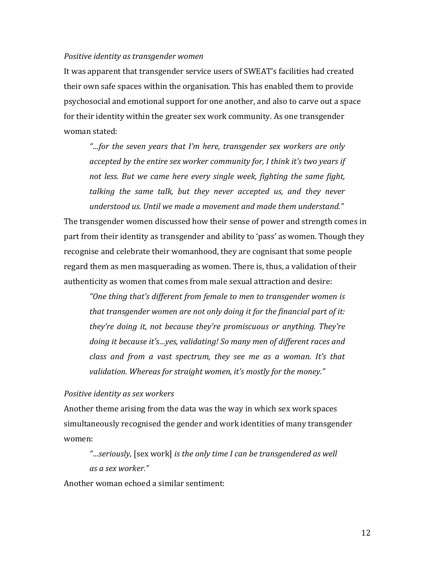#### *Positive identity as transgender women*

It was apparent that transgender service users of SWEAT's facilities had created their own safe spaces within the organisation. This has enabled them to provide psychosocial and emotional support for one another, and also to carve out a space for their identity within the greater sex work community. As one transgender woman stated:

*"…for the seven years that I'm here, transgender sex workers are only accepted by the entire sex worker community for, I think it's two years if not less. But we came here every single week, fighting the same fight, talking the same talk, but they never accepted us, and they never understood us. Until we made a movement and made them understand."*

The transgender women discussed how their sense of power and strength comes in part from their identity as transgender and ability to 'pass' as women. Though they recognise and celebrate their womanhood, they are cognisant that some people regard them as men masquerading as women. There is, thus, a validation of their authenticity as women that comes from male sexual attraction and desire:

*"One thing that's different from female to men to transgender women is that transgender women are not only doing it for the financial part of it: they're doing it, not because they're promiscuous or anything. They're doing it because it's…yes, validating! So many men of different races and class and from a vast spectrum, they see me as a woman. It's that validation. Whereas for straight women, it's mostly for the money."*

#### *Positive identity as sex workers*

Another theme arising from the data was the way in which sex work spaces simultaneously recognised the gender and work identities of many transgender women:

*"…seriously,* [sex work] *is the only time I can be transgendered as well as a sex worker."*

Another woman echoed a similar sentiment: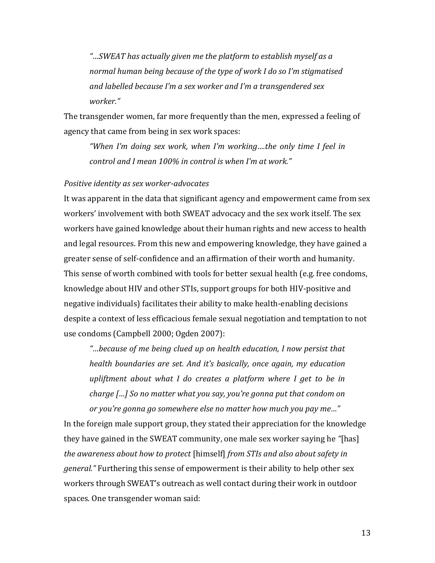*"…SWEAT has actually given me the platform to establish myself as a normal human being because of the type of work I do so I'm stigmatised and labelled because I'm a sex worker and I'm a transgendered sex worker."*

The transgender women, far more frequently than the men, expressed a feeling of agency that came from being in sex work spaces:

*"When I'm doing sex work, when I'm working….the only time I feel in control and I mean 100% in control is when I'm at work."*

#### *Positive identity as sex worker-advocates*

It was apparent in the data that significant agency and empowerment came from sex workers' involvement with both SWEAT advocacy and the sex work itself. The sex workers have gained knowledge about their human rights and new access to health and legal resources. From this new and empowering knowledge, they have gained a greater sense of self-confidence and an affirmation of their worth and humanity. This sense of worth combined with tools for better sexual health (e.g. free condoms, knowledge about HIV and other STIs, support groups for both HIV-positive and negative individuals) facilitates their ability to make health-enabling decisions despite a context of less efficacious female sexual negotiation and temptation to not use condoms (Campbell 2000; Ogden 2007):

*"…because of me being clued up on health education, I now persist that health boundaries are set. And it's basically, once again, my education upliftment about what I do creates a platform where I get to be in charge […] So no matter what you say, you're gonna put that condom on or you're gonna go somewhere else no matter how much you pay me…"* 

In the foreign male support group, they stated their appreciation for the knowledge they have gained in the SWEAT community, one male sex worker saying he *"*[has] *the awareness about how to protect* [himself] *from STIs and also about safety in general."* Furthering this sense of empowerment is their ability to help other sex workers through SWEAT's outreach as well contact during their work in outdoor spaces. One transgender woman said: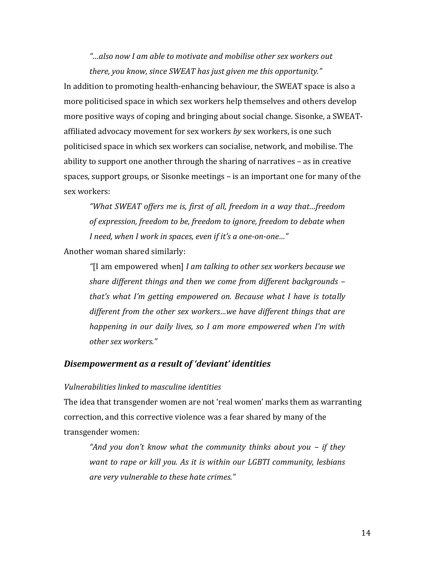*"…also now I am able to motivate and mobilise other sex workers out there, you know, since SWEAT has just given me this opportunity."*

In addition to promoting health-enhancing behaviour, the SWEAT space is also a more politicised space in which sex workers help themselves and others develop more positive ways of coping and bringing about social change. Sisonke, a SWEATaffiliated advocacy movement for sex workers *by* sex workers, is one such politicised space in which sex workers can socialise, network, and mobilise. The ability to support one another through the sharing of narratives – as in creative spaces, support groups, or Sisonke meetings – is an important one for many of the sex workers:

*"What SWEAT offers me is, first of all, freedom in a way that…freedom of expression, freedom to be, freedom to ignore, freedom to debate when I need, when I work in spaces, even if it's a one-on-one…"*

Another woman shared similarly:

*"*[I am empowered when] *I am talking to other sex workers because we share different things and then we come from different backgrounds – that's what I'm getting empowered on. Because what I have is totally different from the other sex workers…we have different things that are happening in our daily lives, so I am more empowered when I'm with other sex workers."*

## *Disempowerment as a result of 'deviant' identities*

## *Vulnerabilities linked to masculine identities*

The idea that transgender women are not 'real women' marks them as warranting correction, and this corrective violence was a fear shared by many of the transgender women:

*"And you don't know what the community thinks about you – if they want to rape or kill you. As it is within our LGBTI community, lesbians are very vulnerable to these hate crimes."*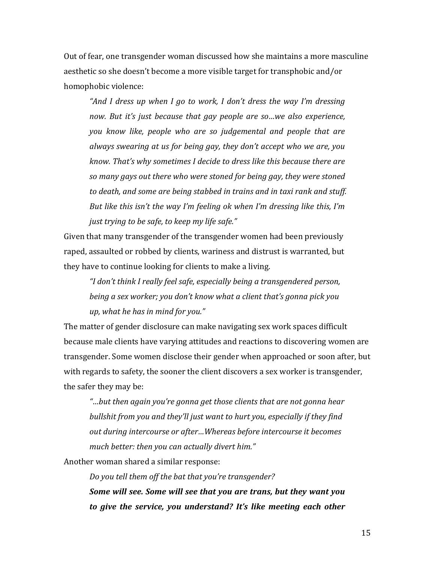Out of fear, one transgender woman discussed how she maintains a more masculine aesthetic so she doesn't become a more visible target for transphobic and/or homophobic violence:

*"And I dress up when I go to work, I don't dress the way I'm dressing now. But it's just because that gay people are so…we also experience, you know like, people who are so judgemental and people that are always swearing at us for being gay, they don't accept who we are, you know. That's why sometimes I decide to dress like this because there are so many gays out there who were stoned for being gay, they were stoned to death, and some are being stabbed in trains and in taxi rank and stuff. But like this isn't the way I'm feeling ok when I'm dressing like this, I'm just trying to be safe, to keep my life safe."*

Given that many transgender of the transgender women had been previously raped, assaulted or robbed by clients, wariness and distrust is warranted, but they have to continue looking for clients to make a living.

*"I don't think I really feel safe, especially being a transgendered person, being a sex worker; you don't know what a client that's gonna pick you up, what he has in mind for you."*

The matter of gender disclosure can make navigating sex work spaces difficult because male clients have varying attitudes and reactions to discovering women are transgender. Some women disclose their gender when approached or soon after, but with regards to safety, the sooner the client discovers a sex worker is transgender, the safer they may be:

*"…but then again you're gonna get those clients that are not gonna hear bullshit from you and they'll just want to hurt you, especially if they find out during intercourse or after…Whereas before intercourse it becomes much better: then you can actually divert him."*

Another woman shared a similar response:

*Do you tell them off the bat that you're transgender?*

*Some will see. Some will see that you are trans, but they want you to give the service, you understand? It's like meeting each other*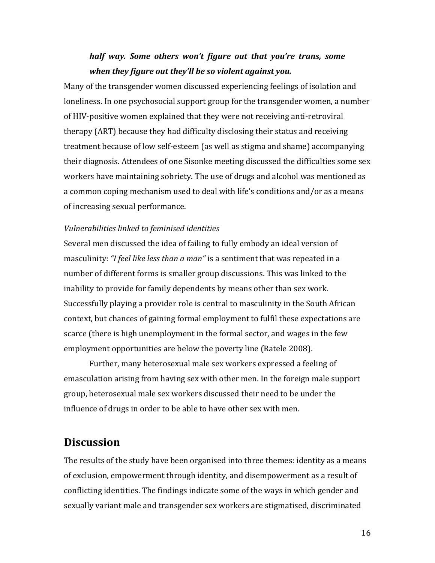## *half way. Some others won't figure out that you're trans, some when they figure out they'll be so violent against you.*

Many of the transgender women discussed experiencing feelings of isolation and loneliness. In one psychosocial support group for the transgender women, a number of HIV-positive women explained that they were not receiving anti-retroviral therapy (ART) because they had difficulty disclosing their status and receiving treatment because of low self-esteem (as well as stigma and shame) accompanying their diagnosis. Attendees of one Sisonke meeting discussed the difficulties some sex workers have maintaining sobriety. The use of drugs and alcohol was mentioned as a common coping mechanism used to deal with life's conditions and/or as a means of increasing sexual performance.

#### *Vulnerabilities linked to feminised identities*

Several men discussed the idea of failing to fully embody an ideal version of masculinity: *"I feel like less than a man"* is a sentiment that was repeated in a number of different forms is smaller group discussions. This was linked to the inability to provide for family dependents by means other than sex work. Successfully playing a provider role is central to masculinity in the South African context, but chances of gaining formal employment to fulfil these expectations are scarce (there is high unemployment in the formal sector, and wages in the few employment opportunities are below the poverty line (Ratele 2008).

Further, many heterosexual male sex workers expressed a feeling of emasculation arising from having sex with other men. In the foreign male support group, heterosexual male sex workers discussed their need to be under the influence of drugs in order to be able to have other sex with men.

# **Discussion**

The results of the study have been organised into three themes: identity as a means of exclusion, empowerment through identity, and disempowerment as a result of conflicting identities. The findings indicate some of the ways in which gender and sexually variant male and transgender sex workers are stigmatised, discriminated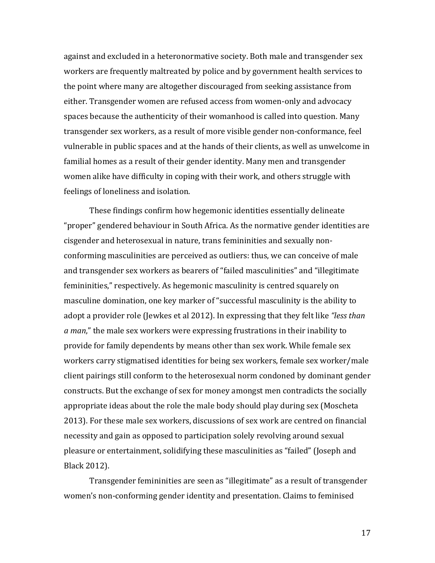against and excluded in a heteronormative society. Both male and transgender sex workers are frequently maltreated by police and by government health services to the point where many are altogether discouraged from seeking assistance from either. Transgender women are refused access from women-only and advocacy spaces because the authenticity of their womanhood is called into question. Many transgender sex workers, as a result of more visible gender non-conformance, feel vulnerable in public spaces and at the hands of their clients, as well as unwelcome in familial homes as a result of their gender identity. Many men and transgender women alike have difficulty in coping with their work, and others struggle with feelings of loneliness and isolation.

These findings confirm how hegemonic identities essentially delineate "proper" gendered behaviour in South Africa. As the normative gender identities are cisgender and heterosexual in nature, trans femininities and sexually nonconforming masculinities are perceived as outliers: thus, we can conceive of male and transgender sex workers as bearers of "failed masculinities" and "illegitimate femininities," respectively. As hegemonic masculinity is centred squarely on masculine domination, one key marker of "successful masculinity is the ability to adopt a provider role (Jewkes et al 2012). In expressing that they felt like *"less than a man*," the male sex workers were expressing frustrations in their inability to provide for family dependents by means other than sex work. While female sex workers carry stigmatised identities for being sex workers, female sex worker/male client pairings still conform to the heterosexual norm condoned by dominant gender constructs. But the exchange of sex for money amongst men contradicts the socially appropriate ideas about the role the male body should play during sex (Moscheta 2013). For these male sex workers, discussions of sex work are centred on financial necessity and gain as opposed to participation solely revolving around sexual pleasure or entertainment, solidifying these masculinities as "failed" (Joseph and Black 2012).

Transgender femininities are seen as "illegitimate" as a result of transgender women's non-conforming gender identity and presentation. Claims to feminised

17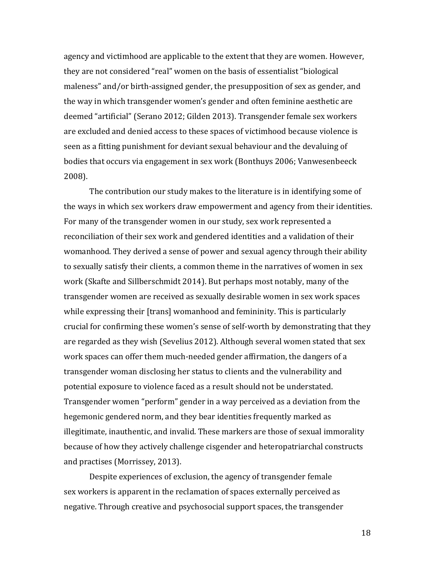agency and victimhood are applicable to the extent that they are women. However, they are not considered "real" women on the basis of essentialist "biological maleness" and/or birth-assigned gender, the presupposition of sex as gender, and the way in which transgender women's gender and often feminine aesthetic are deemed "artificial" (Serano 2012; Gilden 2013). Transgender female sex workers are excluded and denied access to these spaces of victimhood because violence is seen as a fitting punishment for deviant sexual behaviour and the devaluing of bodies that occurs via engagement in sex work (Bonthuys 2006; Vanwesenbeeck 2008).

The contribution our study makes to the literature is in identifying some of the ways in which sex workers draw empowerment and agency from their identities. For many of the transgender women in our study, sex work represented a reconciliation of their sex work and gendered identities and a validation of their womanhood. They derived a sense of power and sexual agency through their ability to sexually satisfy their clients, a common theme in the narratives of women in sex work (Skafte and Sillberschmidt 2014). But perhaps most notably, many of the transgender women are received as sexually desirable women in sex work spaces while expressing their [trans] womanhood and femininity. This is particularly crucial for confirming these women's sense of self-worth by demonstrating that they are regarded as they wish (Sevelius 2012). Although several women stated that sex work spaces can offer them much-needed gender affirmation, the dangers of a transgender woman disclosing her status to clients and the vulnerability and potential exposure to violence faced as a result should not be understated. Transgender women "perform" gender in a way perceived as a deviation from the hegemonic gendered norm, and they bear identities frequently marked as illegitimate, inauthentic, and invalid. These markers are those of sexual immorality because of how they actively challenge cisgender and heteropatriarchal constructs and practises (Morrissey, 2013).

Despite experiences of exclusion, the agency of transgender female sex workers is apparent in the reclamation of spaces externally perceived as negative. Through creative and psychosocial support spaces, the transgender

18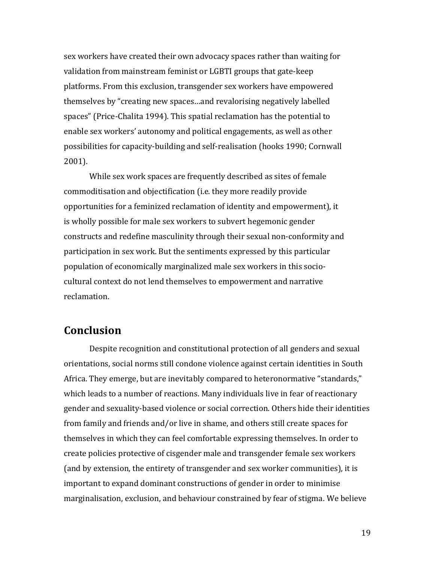sex workers have created their own advocacy spaces rather than waiting for validation from mainstream feminist or LGBTI groups that gate-keep platforms. From this exclusion, transgender sex workers have empowered themselves by "creating new spaces…and revalorising negatively labelled spaces" (Price-Chalita 1994). This spatial reclamation has the potential to enable sex workers' autonomy and political engagements, as well as other possibilities for capacity-building and self-realisation (hooks 1990; Cornwall 2001).

While sex work spaces are frequently described as sites of female commoditisation and objectification (i.e. they more readily provide opportunities for a feminized reclamation of identity and empowerment), it is wholly possible for male sex workers to subvert hegemonic gender constructs and redefine masculinity through their sexual non-conformity and participation in sex work. But the sentiments expressed by this particular population of economically marginalized male sex workers in this sociocultural context do not lend themselves to empowerment and narrative reclamation.

# **Conclusion**

Despite recognition and constitutional protection of all genders and sexual orientations, social norms still condone violence against certain identities in South Africa. They emerge, but are inevitably compared to heteronormative "standards," which leads to a number of reactions. Many individuals live in fear of reactionary gender and sexuality-based violence or social correction. Others hide their identities from family and friends and/or live in shame, and others still create spaces for themselves in which they can feel comfortable expressing themselves. In order to create policies protective of cisgender male and transgender female sex workers (and by extension, the entirety of transgender and sex worker communities), it is important to expand dominant constructions of gender in order to minimise marginalisation, exclusion, and behaviour constrained by fear of stigma. We believe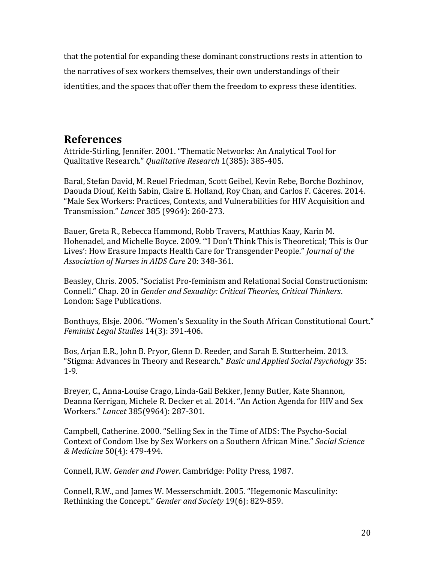that the potential for expanding these dominant constructions rests in attention to the narratives of sex workers themselves, their own understandings of their identities, and the spaces that offer them the freedom to express these identities.

# **References**

Attride-Stirling, Jennifer. 2001. "Thematic Networks: An Analytical Tool for Qualitative Research." *Qualitative Research* 1(385): 385-405.

Baral, Stefan David, M. Reuel Friedman, Scott Geibel, Kevin Rebe, Borche Bozhinov, Daouda Diouf, Keith Sabin, Claire E. Holland, Roy Chan, and Carlos F. Cáceres. 2014. "Male Sex Workers: Practices, Contexts, and Vulnerabilities for HIV Acquisition and Transmission." *Lancet* 385 (9964): 260-273.

Bauer, Greta R., Rebecca Hammond, Robb Travers, Matthias Kaay, Karin M. Hohenadel, and Michelle Boyce. 2009. "'I Don't Think This is Theoretical; This is Our Lives': How Erasure Impacts Health Care for Transgender People." *Journal of the Association of Nurses in AIDS Care* 20: 348-361.

Beasley, Chris. 2005. "Socialist Pro-feminism and Relational Social Constructionism: Connell." Chap. 20 in *Gender and Sexuality: Critical Theories, Critical Thinkers*. London: Sage Publications.

Bonthuys, Elsje. 2006. "Women's Sexuality in the South African Constitutional Court." *Feminist Legal Studies* 14(3): 391-406.

Bos, Arjan E.R., John B. Pryor, Glenn D. Reeder, and Sarah E. Stutterheim. 2013. "Stigma: Advances in Theory and Research." *Basic and Applied Social Psychology* 35: 1-9.

Breyer, C., Anna-Louise Crago, Linda-Gail Bekker, Jenny Butler, Kate Shannon, Deanna Kerrigan, Michele R. Decker et al. 2014. "An Action Agenda for HIV and Sex Workers." *Lancet* 385(9964): 287-301.

Campbell, Catherine. 2000. "Selling Sex in the Time of AIDS: The Psycho-Social Context of Condom Use by Sex Workers on a Southern African Mine." *Social Science & Medicine* 50(4): 479-494.

Connell, R.W. *Gender and Power*. Cambridge: Polity Press, 1987.

Connell, R.W., and James W. Messerschmidt. 2005. "Hegemonic Masculinity: Rethinking the Concept." *Gender and Society* 19(6): 829-859.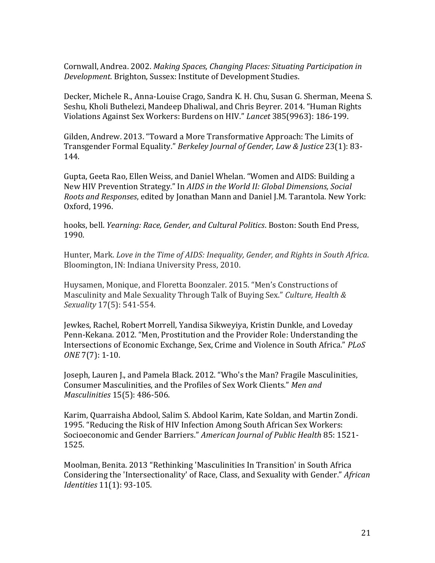Cornwall, Andrea. 2002. *Making Spaces, Changing Places: Situating Participation in Development.* Brighton, Sussex: Institute of Development Studies.

Decker, Michele R., Anna-Louise Crago, Sandra K. H. Chu, Susan G. Sherman, Meena S. Seshu, Kholi Buthelezi, Mandeep Dhaliwal, and Chris Beyrer. 2014. "Human Rights Violations Against Sex Workers: Burdens on HIV." *Lancet* 385(9963): 186-199.

Gilden, Andrew. 2013. "Toward a More Transformative Approach: The Limits of Transgender Formal Equality." *Berkeley Journal of Gender, Law & Justice* 23(1): 83- 144.

Gupta, Geeta Rao, Ellen Weiss, and Daniel Whelan. "Women and AIDS: Building a New HIV Prevention Strategy." In *AIDS in the World II: Global Dimensions, Social Roots and Responses*, edited by Jonathan Mann and Daniel J.M. Tarantola. New York: Oxford, 1996.

hooks, bell. *Yearning: Race, Gender, and Cultural Politics*. Boston: South End Press, 1990.

Hunter, Mark. *Love in the Time of AIDS: Inequality, Gender, and Rights in South Africa*. Bloomington, IN: Indiana University Press, 2010.

Huysamen, Monique, and Floretta Boonzaler. 2015. "Men's Constructions of Masculinity and Male Sexuality Through Talk of Buying Sex." *Culture, Health & Sexuality* 17(5): 541-554.

Jewkes, Rachel, Robert Morrell, Yandisa Sikweyiya, Kristin Dunkle, and Loveday Penn-Kekana. 2012. "Men, Prostitution and the Provider Role: Understanding the Intersections of Economic Exchange, Sex, Crime and Violence in South Africa." *PLoS ONE* 7(7): 1-10.

Joseph, Lauren J., and Pamela Black. 2012. "Who's the Man? Fragile Masculinities, Consumer Masculinities, and the Profiles of Sex Work Clients." *Men and Masculinities* 15(5): 486-506.

Karim, Quarraisha Abdool, Salim S. Abdool Karim, Kate Soldan, and Martin Zondi. 1995. "Reducing the Risk of HIV Infection Among South African Sex Workers: Socioeconomic and Gender Barriers." *American Journal of Public Health* 85: 1521- 1525.

Moolman, Benita. 2013 "Rethinking 'Masculinities In Transition' in South Africa Considering the 'Intersectionality' of Race, Class, and Sexuality with Gender." *African Identities* 11(1): 93-105.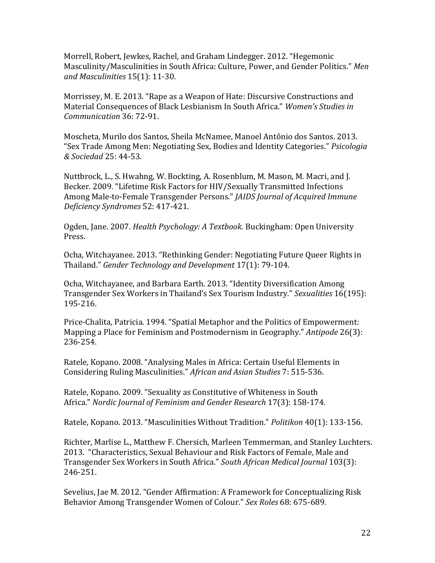Morrell, Robert, Jewkes, Rachel, and Graham Lindegger. 2012. "Hegemonic Masculinity/Masculinities in South Africa: Culture, Power, and Gender Politics." *Men and Masculinities* 15(1): 11-30.

Morrissey, M. E. 2013. "Rape as a Weapon of Hate: Discursive Constructions and Material Consequences of Black Lesbianism In South Africa." *Women's Studies in Communication* 36: 72-91.

Moscheta, Murilo dos Santos, Sheila McNamee, Manoel Antônio dos Santos. 2013. "Sex Trade Among Men: Negotiating Sex, Bodies and Identity Categories." *Psicologia & Sociedad* 25: 44-53.

Nuttbrock, L., S. Hwahng, W. Bockting, A. Rosenblum, M. Mason, M. Macri, and J. Becker. 2009. "Lifetime Risk Factors for HIV/Sexually Transmitted Infections Among Male-to-Female Transgender Persons." *JAIDS Journal of Acquired Immune Deficiency Syndromes* 52: 417-421.

Ogden, Jane. 2007. *Health Psychology: A Textbook*. Buckingham: Open University Press.

Ocha, Witchayanee. 2013. "Rethinking Gender: Negotiating Future Queer Rights in Thailand." *Gender Technology and Development* 17(1): 79-104.

Ocha, Witchayanee, and Barbara Earth. 2013. "Identity Diversification Among Transgender Sex Workers in Thailand's Sex Tourism Industry." *Sexualities* 16(195): 195-216.

Price-Chalita, Patricia. 1994. "Spatial Metaphor and the Politics of Empowerment: Mapping a Place for Feminism and Postmodernism in Geography." *Antipode* 26(3): 236-254.

Ratele, Kopano. 2008. "Analysing Males in Africa: Certain Useful Elements in Considering Ruling Masculinities." *African and Asian Studies* 7: 515-536.

Ratele, Kopano. 2009. "Sexuality as Constitutive of Whiteness in South Africa." *Nordic Journal of Feminism and Gender Research* 17(3): 158-174.

Ratele, Kopano. 2013. "Masculinities Without Tradition." *Politikon* 40(1): 133-156.

Richter, Marlise L., Matthew F. Chersich, Marleen Temmerman, and Stanley Luchters. 2013. "Characteristics, Sexual Behaviour and Risk Factors of Female, Male and Transgender Sex Workers in South Africa." *South African Medical Journal* 103(3): 246-251.

Sevelius, Jae M. 2012. "Gender Affirmation: A Framework for Conceptualizing Risk Behavior Among Transgender Women of Colour." *Sex Roles* 68: 675-689.